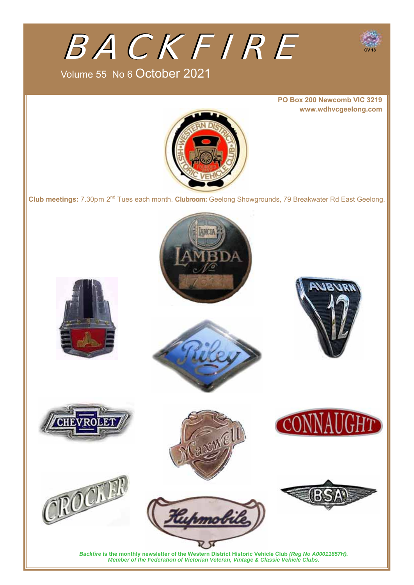

Volume 55 No 6 October 2021

**PO Box 200 Newcomb VIC 3219 www.wdhvcgeelong.com**



**Club meetings:** 7.30pm 2nd Tues each month. **Clubroom:** Geelong Showgrounds, 79 Breakwater Rd East Geelong.

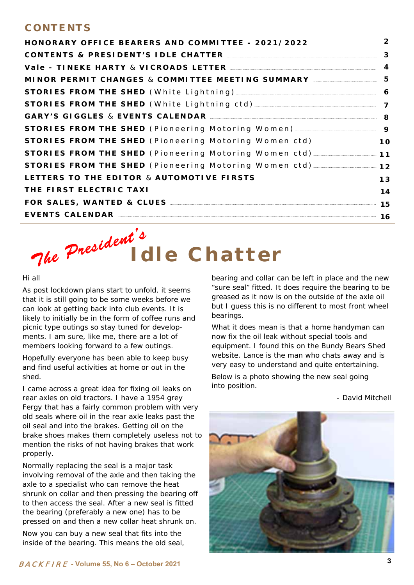### **CONTENTS**

| HONORARY OFFICE BEARERS AND COMMITTEE - 2021/2022                                   | $\overline{2}$ |  |  |  |  |
|-------------------------------------------------------------------------------------|----------------|--|--|--|--|
| CONTENTS & PRESIDENT'S IDLE CHATTER MANAGEMENT CONTENTS                             |                |  |  |  |  |
|                                                                                     |                |  |  |  |  |
| MINOR PERMIT CHANGES & COMMITTEE MEETING SUMMARY                                    | 5              |  |  |  |  |
|                                                                                     | 6              |  |  |  |  |
| STORIES FROM THE SHED (White Lightning ctd) 7                                       |                |  |  |  |  |
| GARY'S GIGGLES & EVENTS CALENDAR MARIE AND RESERVISION BY A SALE AND RESERVISION BY |                |  |  |  |  |
| STORIES FROM THE SHED (Pioneering Motoring Women) ______________________________ 9  |                |  |  |  |  |
| STORIES FROM THE SHED (Pioneering Motoring Women ctd) ________________ 10           |                |  |  |  |  |
| STORIES FROM THE SHED (Pioneering Motoring Women ctd) ________________ 11           |                |  |  |  |  |
| STORIES FROM THE SHED (Pioneering Motoring Women ctd) _______________ 12            |                |  |  |  |  |
| LETTERS TO THE EDITOR & AUTOMOTIVE FIRSTS <b>ACCEPTED</b> 13                        |                |  |  |  |  |
|                                                                                     |                |  |  |  |  |
|                                                                                     |                |  |  |  |  |
| EVENTS CALENDAR<br>$\overline{\phantom{a}}$ 16                                      |                |  |  |  |  |

# The President<sup>s</sup><br>Idle Chatter

#### Hi all

As post lockdown plans start to unfold, it seems that it is still going to be some weeks before we can look at getting back into club events. It is likely to initially be in the form of coffee runs and picnic type outings so stay tuned for developments. I am sure, like me, there are a lot of members looking forward to a few outings.

Hopefully everyone has been able to keep busy and find useful activities at home or out in the shed.

I came across a great idea for fixing oil leaks on rear axles on old tractors. I have a 1954 grey Fergy that has a fairly common problem with very old seals where oil in the rear axle leaks past the oil seal and into the brakes. Getting oil on the brake shoes makes them completely useless not to mention the risks of not having brakes that work properly.

Normally replacing the seal is a major task involving removal of the axle and then taking the axle to a specialist who can remove the heat shrunk on collar and then pressing the bearing off to then access the seal. After a new seal is fitted the bearing (preferably a new one) has to be pressed on and then a new collar heat shrunk on.

Now you can buy a new seal that fits into the inside of the bearing. This means the old seal, bearing and collar can be left in place and the new "sure seal" fitted. It does require the bearing to be greased as it now is on the outside of the axle oil but I guess this is no different to most front wheel bearings.

What it does mean is that a home handyman can now fix the oil leak without special tools and equipment. I found this on the Bundy Bears Shed website. Lance is the man who chats away and is very easy to understand and quite entertaining.

Below is a photo showing the new seal going into position.

*- David Mitchell*

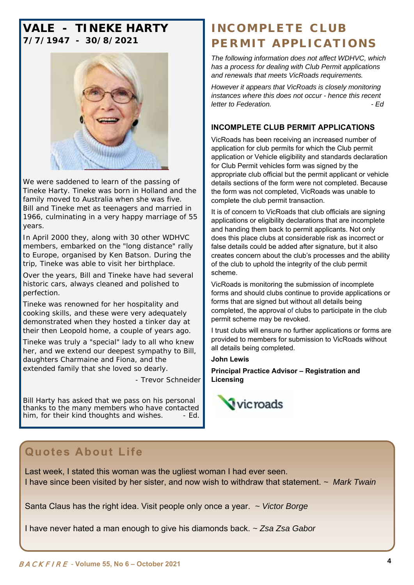### **VALE - TINEKE HARTY 7/7/1947 - 30/8/2021**



We were saddened to learn of the passing of Tineke Harty. Tineke was born in Holland and the family moved to Australia when she was five. Bill and Tineke met as teenagers and married in 1966, culminating in a very happy marriage of 55 years.

In April 2000 they, along with 30 other WDHVC members, embarked on the "long distance" rally to Europe, organised by Ken Batson. During the trip, Tineke was able to visit her birthplace.

Over the years, Bill and Tineke have had several historic cars, always cleaned and polished to perfection.

Tineke was renowned for her hospitality and cooking skills, and these were very adequately demonstrated when they hosted a tinker day at their then Leopold home, a couple of years ago.

Tineke was truly a "special" lady to all who knew her, and we extend our deepest sympathy to Bill, daughters Charmaine and Fiona, and the extended family that she loved so dearly.

*- Trevor Schneider* 

*Bill Harty has asked that we pass on his personal thanks to the many members who have contacted him, for their kind thoughts and wishes. - Ed.* 

### **INCOMPLETE CLUB PERMIT APPLICATIONS**

*The following information does not affect WDHVC, which has a process for dealing with Club Permit applications and renewals that meets VicRoads requirements.* 

*However it appears that VicRoads is closely monitoring instances where this does not occur - hence this recent letter to Federation. - Ed* 

### **INCOMPLETE CLUB PERMIT APPLICATIONS**

VicRoads has been receiving an increased number of application for club permits for which the Club permit application or Vehicle eligibility and standards declaration for Club Permit vehicles form was signed by the appropriate club official but the permit applicant or vehicle details sections of the form were not completed. Because the form was not completed, VicRoads was unable to complete the club permit transaction.

It is of concern to VicRoads that club officials are signing applications or eligibility declarations that are incomplete and handing them back to permit applicants. Not only does this place clubs at considerable risk as incorrect or false details could be added after signature, but it also creates concern about the club's processes and the ability of the club to uphold the integrity of the club permit scheme.

VicRoads is monitoring the submission of incomplete forms and should clubs continue to provide applications or forms that are signed but without all details being completed, the approval of clubs to participate in the club permit scheme may be revoked.

I trust clubs will ensure no further applications or forms are provided to members for submission to VicRoads without all details being completed.

### **John Lewis**

**Principal Practice Advisor – Registration and Licensing**



### **Quotes About Life**

Last week, I stated this woman was the ugliest woman I had ever seen. I have since been visited by her sister, and now wish to withdraw that statement. *~ Mark Twain*

Santa Claus has the right idea. Visit people only once a year. *~ Victor Borge*

I have never hated a man enough to give his diamonds back. *~ Zsa Zsa Gabor*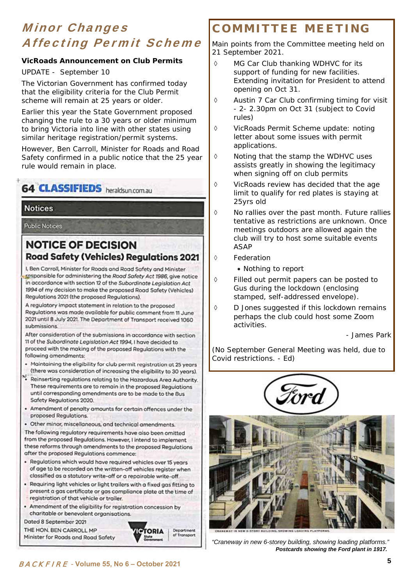## Minor Changes Affecting Permit Scheme

### **VicRoads Announcement on Club Permits**

UPDATE - September 10

The Victorian Government has confirmed today that the eligibility criteria for the Club Permit scheme will remain at 25 years or older.

Earlier this year the State Government proposed changing the rule to a 30 years or older minimum to bring Victoria into line with other states using similar heritage registration/permit systems.

However, Ben Carroll, Minister for Roads and Road Safety confirmed in a public notice that the 25 year rule would remain in place.

**64 CLASSIFIEDS** heraldsup com au

### **Notices**

**Public Notices** 

### **NOTICE OF DECISION Road Safety (Vehicles) Regulations 2021**

I, Ben Carroll, Minister for Roads and Road Safety and Minister responsible for administering the Road Safety Act 1986, give notice in accordance with section 12 of the Subordinate Legislation Act 1994 of my decision to make the proposed Road Safety (Vehicles) Regulations 2021 (the proposed Regulations).

A regulatory impact statement in relation to the proposed Regulations was made available for public comment from 11 June 2021 until 8 July 2021. The Department of Transport received 1060 submissions

After consideration of the submissions in accordance with section 11 of the Subordinate Legislation Act 1994. I have decided to proceed with the making of the proposed Regulations with the following amendments:

- Maintaining the eligibility for club permit registration at 25 years (there was consideration of increasing the eligibility to 30 years).
- Reinserting regulations relating to the Hazardous Area Authority. These requirements are to remain in the proposed Requiptions until corresponding amendments are to be made to the Bus Safety Regulations 2020.
- . Amendment of penalty amounts for certain offences under the proposed Regulations.
- · Other minor, miscellaneous, and technical amendments. The following regulatory requirements have also been omitted from the proposed Regulations. However, I intend to implement these reforms through amendments to the proposed Regulations
- after the proposed Regulations commence: · Regulations which would have required vehicles over 15 years
- of age to be recorded on the written-off vehicles register when classified as a statutory write-off or a repairable write-off. . Requiring light vehicles or light trailers with a fixed gas fitting to
- present a gas certificate or gas compliance plate at the time of registration of that vehicle or trailer.
- . Amendment of the eligibility for registration concession by charitable or benevolent organisations.

Dated 8 September 2021 THE HON. BEN CARROLL MP Minister for Roads and Road Safety

### **TOPIA** Department of Transport

### **COMMITTEE MEETING**

Main points from the Committee meeting held on 21 September 2021.

- ♦ MG Car Club thanking WDHVC for its support of funding for new facilities. Extending invitation for President to attend opening on Oct 31.
- Austin 7 Car Club confirming timing for visit - 2- 2.30pm on Oct 31 (subject to Covid rules)
- VicRoads Permit Scheme update: noting letter about some issues with permit applications.
- $\Diamond$  Noting that the stamp the WDHVC uses assists greatly in showing the legitimacy when signing off on club permits
- $\Diamond$  VicRoads review has decided that the age limit to qualify for red plates is staying at 25yrs old
- $\Diamond$  No rallies over the past month. Future rallies tentative as restrictions are unknown. Once meetings outdoors are allowed again the club will try to host some suitable events ASAP
- ♦ Federation
	- Nothing to report
- Filled out permit papers can be posted to Gus during the lockdown (enclosing stamped, self-addressed envelope).
- $\Diamond$  D Jones suggested if this lockdown remains perhaps the club could host some Zoom activities.

 *- James Park* 

*(No September General Meeting was held, due to Covid restrictions. - Ed)*





*"Craneway in new 6-storey building, showing loading platforms." Postcards showing the Ford plant in 1917.*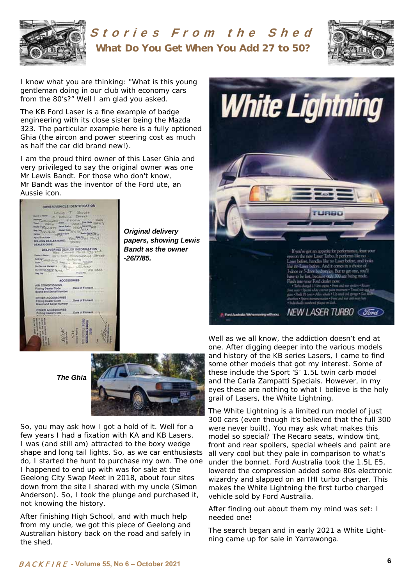

# Stories From the Shed **What Do You Get When You Add 27 to 50?**



I know what you are thinking: "What is this young gentleman doing in our club with economy cars from the 80's?" Well I am glad you asked.

The KB Ford Laser is a fine example of badge engineering with its close sister being the Mazda 323. The particular example here is a fully optioned Ghia (the aircon and power steering cost as much as half the car did brand new!).

I am the proud third owner of this Laser Ghia and very privileged to say the original owner was one Mr Lewis Bandt. For those who don't know, Mr Bandt was the inventor of the Ford ute, an Aussie icon.



*Original delivery papers, showing Lewis Bandt as the owner -26/7/85.* 



*The Ghia* 



So, you may ask how I got a hold of it. Well for a few years I had a fixation with KA and KB Lasers. I was (and still am) attracted to the boxy wedge shape and long tail lights. So, as we car enthusiasts do, I started the hunt to purchase my own. The one I happened to end up with was for sale at the Geelong City Swap Meet in 2018, about four sites down from the site I shared with my uncle (Simon Anderson). So, I took the plunge and purchased it, not knowing the history.

After finishing High School, and with much help from my uncle, we got this piece of Geelong and Australian history back on the road and safely in the shed.

Well as we all know, the addiction doesn't end at one. After digging deeper into the various models and history of the KB series Lasers, I came to find some other models that got my interest. Some of these include the Sport 'S' 1.5L twin carb model and the Carla Zampatti Specials. However, in my eyes these are nothing to what I believe is the holy grail of Lasers, the White Lightning.

The White Lightning is a limited run model of just 300 cars (even though it's believed that the full 300 were never built). You may ask what makes this model so special? The Recaro seats, window tint, front and rear spoilers, special wheels and paint are all very cool but they pale in comparison to what's under the bonnet. Ford Australia took the 1.5L E5, lowered the compression added some 80s electronic wizardry and slapped on an IHI turbo charger. This makes the White Lightning the first turbo charged vehicle sold by Ford Australia.

After finding out about them my mind was set: I needed one!

The search began and in early 2021 a White Lightning came up for sale in Yarrawonga.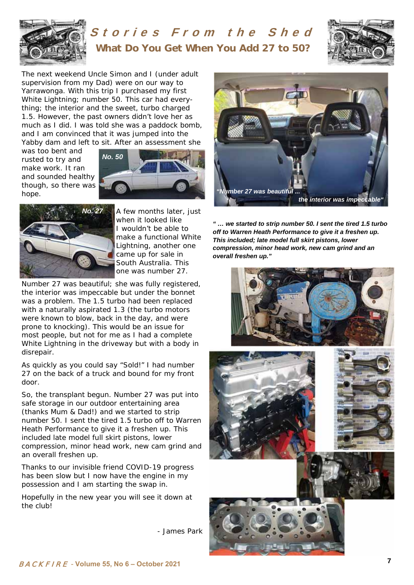

# Stories From the Shed **What Do You Get When You Add 27 to 50?**



The next weekend Uncle Simon and I (under adult supervision from my Dad) were on our way to Yarrawonga. With this trip I purchased my first White Lightning; number 50. This car had everything; the interior and the sweet, turbo charged 1.5. However, the past owners didn't love her as much as I did. I was told she was a paddock bomb, and I am convinced that it was jumped into the Yabby dam and left to sit. After an assessment she

was too bent and rusted to try and make work. It ran and sounded healthy though, so there was hope.





A few months later, just when it looked like I wouldn't be able to make a functional White Lightning, another one came up for sale in South Australia. This one was number 27.

Number 27 was beautiful; she was fully registered, the interior was impeccable but under the bonnet was a problem. The 1.5 turbo had been replaced with a naturally aspirated 1.3 (the turbo motors were known to blow, back in the day, and were prone to knocking). This would be an issue for most people, but not for me as I had a complete White Lightning in the driveway but with a body in disrepair.

As quickly as you could say "Sold!" I had number 27 on the back of a truck and bound for my front door.

So, the transplant begun. Number 27 was put into safe storage in our outdoor entertaining area (thanks Mum & Dad!) and we started to strip number 50. I sent the tired 1.5 turbo off to Warren Heath Performance to give it a freshen up. This included late model full skirt pistons, lower compression, minor head work, new cam grind and an overall freshen up.

Thanks to our invisible friend COVID-19 progress has been slow but I now have the engine in my possession and I am starting the swap in.

Hopefully in the new year you will see it down at the club!

*- James Park* 



*" … we started to strip number 50. I sent the tired 1.5 turbo off to Warren Heath Performance to give it a freshen up. This included; late model full skirt pistons, lower compression, minor head work, new cam grind and an overall freshen up."* 

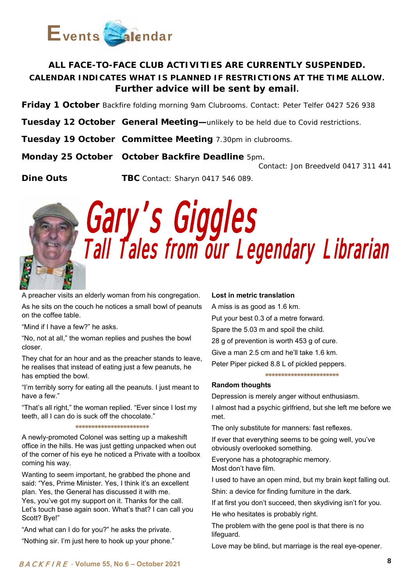

### **ALL FACE-TO-FACE CLUB ACTIVITIES ARE CURRENTLY SUSPENDED. CALENDAR INDICATES WHAT IS PLANNED IF RESTRICTIONS AT THE TIME ALLOW. Further advice will be sent by email.**

**Friday 1 October** Backfire folding morning 9am Clubrooms. *Contact: Peter Telfer 0427 526 938*

**Tuesday 12 October General Meeting—**unlikely to be held due to Covid restrictions.

**Tuesday 19 October Committee Meeting** 7.30pm in clubrooms.

**Monday 25 October October Backfire Deadline** 5pm*.* 

 *Contact: Jon Breedveld 0417 311 441* 

**Dine Outs TBC** *Contact: Sharyn 0417 546 089.*



Gary's Giggles Tall Tales from our Legendary Librarian

A preacher visits an elderly woman from his congregation.

As he sits on the couch he notices a small bowl of peanuts on the coffee table.

"Mind if I have a few?" he asks.

"No, not at all," the woman replies and pushes the bowl closer.

They chat for an hour and as the preacher stands to leave, he realises that instead of eating just a few peanuts, he has emptied the bowl.

"I'm terribly sorry for eating all the peanuts. I just meant to have a few."

"That's all right," the woman replied. "Ever since I lost my teeth, all I can do is suck off the chocolate."

**\*\*\*\*\*\*\*\*\*\*\*\*\*\*\*\*\*\*\*\*\*\*\*** 

A newly-promoted Colonel was setting up a makeshift office in the hills. He was just getting unpacked when out of the corner of his eye he noticed a Private with a toolbox coming his way.

Wanting to seem important, he grabbed the phone and said: "Yes, Prime Minister. Yes, I think it's an excellent plan. Yes, the General has discussed it with me. Yes, you've got my support on it. Thanks for the call. Let's touch base again soon. What's that? I can call you Scott? Bye!"

"And what can I do for you?" he asks the private.

"Nothing sir. I'm just here to hook up your phone."

### **Lost in metric translation**

A miss is as good as 1.6 km. Put your best 0.3 of a metre forward. Spare the 5.03 m and spoil the child. 28 g of prevention is worth 453 g of cure. Give a man 2.5 cm and he'll take 1.6 km.

Peter Piper picked 8.8 L of pickled peppers.

**\*\*\*\*\*\*\*\*\*\*\*\*\*\*\*\*\*\*\*\*\*\*\*** 

### **Random thoughts**

Depression is merely anger without enthusiasm.

I almost had a psychic girlfriend, but she left me before we met.

The only substitute for manners: fast reflexes.

If ever that everything seems to be going well, you've obviously overlooked something.

Everyone has a photographic memory. Most don't have film.

I used to have an open mind, but my brain kept falling out.

Shin: a device for finding furniture in the dark.

If at first you don't succeed, then skydiving isn't for you.

He who hesitates is probably right.

The problem with the gene pool is that there is no lifeguard.

Love may be blind, but marriage is the real eye-opener.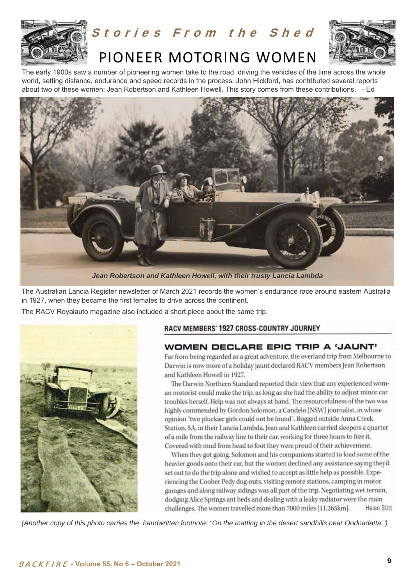

# Stories From the Shed



# PIONEER MOTORING WOMEN

The early 1900s saw a number of pioneering women take to the road, driving the vehicles of the time across the whole world, setting distance, endurance and speed records in the process. John Hickford, has contributed several reports about two of these women; Jean Robertson and Kathleen Howell. This story comes from these contributions. - Ed



*Jean Robertson and Kathleen Howell, with their trusty Lancia Lambda*

The Australian Lancia Register newsletter of March 2021 records the women's endurance race around eastern Australia in 1927, when they became the first females to drive across the continent.

The RACV Royalauto magazine also included a short piece about the same trip.



### RACV MEMBERS' 1927 CROSS-COUNTRY JOURNEY

### WOMEN DECLARE EPIC TRIP A 'JAUNT'

Far from being regarded as a great adventure, the overland trip from Melbourne to Darwin is now more of a holiday jaunt declared RACV members Jean Robertson and Kathleen Howell in 1927.

The Darwin Northern Standard reported their view that any experienced woman motorist could make the trip, as long as she had the ability to adjust minor car troubles herself. Help was not always at hand. The resourcefulness of the two was highly commended by Gordon Solomon, a Candelo [NSW] journalist, in whose opinion "two pluckier girls could not be found". Bogged outside Anna Creek Station, SA, in their Lancia Lambda, Jean and Kathleen carried sleepers a quarter of a mile from the railway line to their car, working for three hours to free it. Covered with mud from head to foot they were proud of their achievement.

When they got going, Solomon and his companions started to load some of the heavier goods onto their car, but the women declined any assistance saying they'd set out to do the trip alone and wished to accept as little help as possible. Experiencing the Coober Pedy dug-outs, visiting remote stations, camping in motor garages and along railway sidings was all part of the trip. Negotiating wet terrain, dodging Alice Springs ant beds and dealing with a leaky radiator were the main challenges. The women travelled more than 7000 miles [11.265km]. **Helen Stitt** 

*(Another copy of this photo carries the handwritten footnote: "On the matting in the desert sandhills near Oodnadatta.")*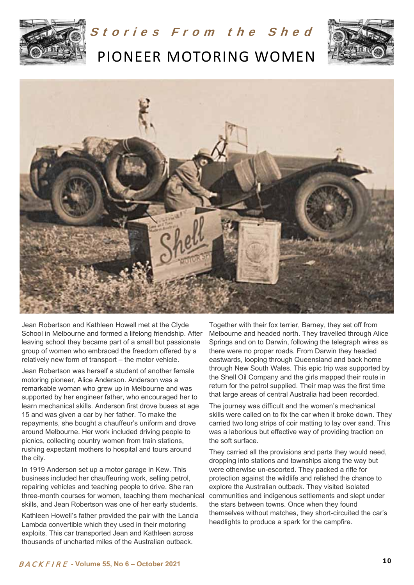

Stories From the Shed

PIONEER MOTORING WOMEN





Jean Robertson and Kathleen Howell met at the Clyde School in Melbourne and formed a lifelong friendship. After leaving school they became part of a small but passionate group of women who embraced the freedom offered by a relatively new form of transport – the motor vehicle.

Jean Robertson was herself a student of another female motoring pioneer, Alice Anderson. Anderson was a remarkable woman who grew up in Melbourne and was supported by her engineer father, who encouraged her to learn mechanical skills. Anderson first drove buses at age 15 and was given a car by her father. To make the repayments, she bought a chauffeur's uniform and drove around Melbourne. Her work included driving people to picnics, collecting country women from train stations, rushing expectant mothers to hospital and tours around the city.

In 1919 Anderson set up a motor garage in Kew. This business included her chauffeuring work, selling petrol, repairing vehicles and teaching people to drive. She ran three-month courses for women, teaching them mechanical skills, and Jean Robertson was one of her early students.

Kathleen Howell's father provided the pair with the Lancia Lambda convertible which they used in their motoring exploits. This car transported Jean and Kathleen across thousands of uncharted miles of the Australian outback.

Together with their fox terrier, Barney, they set off from Melbourne and headed north. They travelled through Alice Springs and on to Darwin, following the telegraph wires as there were no proper roads. From Darwin they headed eastwards, looping through Queensland and back home through New South Wales. This epic trip was supported by the Shell Oil Company and the girls mapped their route in return for the petrol supplied. Their map was the first time that large areas of central Australia had been recorded.

The journey was difficult and the women's mechanical skills were called on to fix the car when it broke down. They carried two long strips of coir matting to lay over sand. This was a laborious but effective way of providing traction on the soft surface.

They carried all the provisions and parts they would need, dropping into stations and townships along the way but were otherwise un-escorted. They packed a rifle for protection against the wildlife and relished the chance to explore the Australian outback. They visited isolated communities and indigenous settlements and slept under the stars between towns. Once when they found themselves without matches, they short-circuited the car's headlights to produce a spark for the campfire.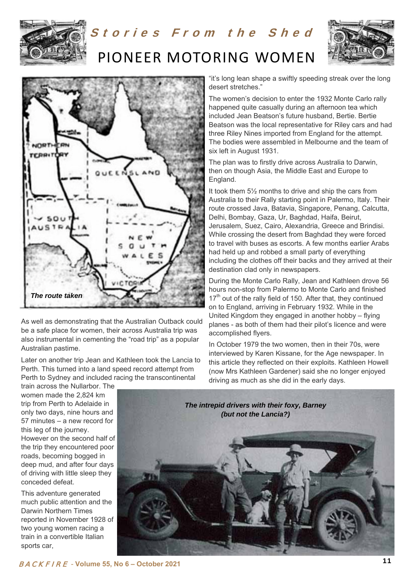

# Stories From the Shed PIONEER MOTORING WOMEN





As well as demonstrating that the Australian Outback could be a safe place for women, their across Australia trip was also instrumental in cementing the "road trip" as a popular Australian pastime.

Later on another trip Jean and Kathleen took the Lancia to Perth. This turned into a land speed record attempt from Perth to Sydney and included racing the transcontinental

"it's long lean shape a swiftly speeding streak over the long desert stretches."

The women's decision to enter the 1932 Monte Carlo rally happened quite casually during an afternoon tea which included Jean Beatson's future husband, Bertie. Bertie Beatson was the local representative for Riley cars and had three Riley Nines imported from England for the attempt. The bodies were assembled in Melbourne and the team of six left in August 1931.

The plan was to firstly drive across Australia to Darwin, then on though Asia, the Middle East and Europe to England.

It took them 5½ months to drive and ship the cars from Australia to their Rally starting point in Palermo, Italy. Their route crossed Java, Batavia, Singapore, Penang, Calcutta, Delhi, Bombay, Gaza, Ur, Baghdad, Haifa, Beirut, Jerusalem, Suez, Cairo, Alexandria, Greece and Brindisi. While crossing the desert from Baghdad they were forced to travel with buses as escorts. A few months earlier Arabs had held up and robbed a small party of everything including the clothes off their backs and they arrived at their destination clad only in newspapers.

During the Monte Carlo Rally, Jean and Kathleen drove 56 hours non-stop from Palermo to Monte Carlo and finished  $17<sup>th</sup>$  out of the rally field of 150. After that, they continued on to England, arriving in February 1932. While in the United Kingdom they engaged in another hobby – flying planes - as both of them had their pilot's licence and were accomplished flyers.

In October 1979 the two women, then in their 70s, were interviewed by Karen Kissane, for the Age newspaper. In this article they reflected on their exploits. Kathleen Howell (now Mrs Kathleen Gardener) said she no longer enjoyed driving as much as she did in the early days.

train across the Nullarbor. The women made the 2,824 km trip from Perth to Adelaide in only two days, nine hours and 57 minutes – a new record for this leg of the journey. However on the second half of the trip they encountered poor roads, becoming bogged in deep mud, and after four days of driving with little sleep they

This adventure generated much public attention and the Darwin Northern Times reported in November 1928 of two young women racing a train in a convertible Italian sports car,

conceded defeat.

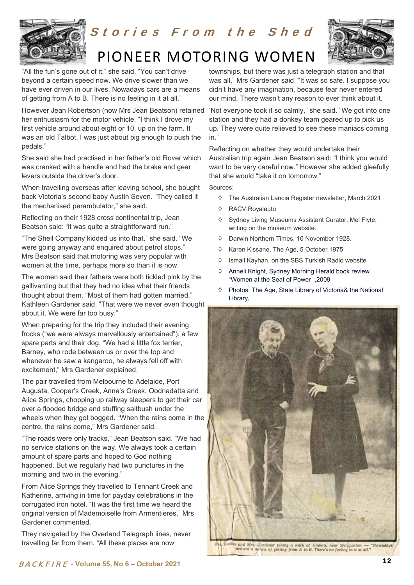

# Stories From the Shed PIONEER MOTORING WOMEN



"All the fun's gone out of it," she said. "You can't drive beyond a certain speed now. We drive slower than we have ever driven in our lives. Nowadays cars are a means of getting from A to B. There is no feeling in it at all."

However Jean Robertson (now Mrs Jean Beatson) retained her enthusiasm for the motor vehicle. "I think I drove my first vehicle around about eight or 10, up on the farm. It was an old Talbot. I was just about big enough to push the pedals."

She said she had practised in her father's old Rover which was cranked with a handle and had the brake and gear levers outside the driver's door.

When travelling overseas after leaving school, she bought back Victoria's second baby Austin Seven. "They called it the mechanised perambulator," she said.

Reflecting on their 1928 cross continental trip, Jean Beatson said: "it was quite a straightforward run."

"The Shell Company kidded us into that," she said. "We were going anyway and enquired about petrol stops." Mrs Beatson said that motoring was very popular with women at the time, perhaps more so than it is now.

The women said their fathers were both tickled pink by the gallivanting but that they had no idea what their friends thought about them. "Most of them had gotten married," Kathleen Gardener said. "That were we never even thought about it. We were far too busy."

When preparing for the trip they included their evening frocks ("we were always marvellously entertained"), a few spare parts and their dog. "We had a little fox terrier, Barney, who rode between us or over the top and whenever he saw a kangaroo, he always fell off with excitement," Mrs Gardener explained.

The pair travelled from Melbourne to Adelaide, Port Augusta, Cooper's Creek, Anna's Creek, Oodnadatta and Alice Springs, chopping up railway sleepers to get their car over a flooded bridge and stuffing saltbush under the wheels when they got bogged. "When the rains come in the centre, the rains come," Mrs Gardener said.

"The roads were only tracks," Jean Beatson said. "We had no service stations on the way. We always took a certain amount of spare parts and hoped to God nothing happened. But we regularly had two punctures in the morning and two in the evening."

From Alice Springs they travelled to Tennant Creek and Katherine, arriving in time for payday celebrations in the corrugated iron hotel. "It was the first time we heard the original version of Mademoiselle from Armentieres," Mrs Gardener commented.

They navigated by the Overland Telegraph lines, never travelling far from them. "All these places are now

townships, but there was just a telegraph station and that was all," Mrs Gardener said. "It was so safe. I suppose you didn't have any imagination, because fear never entered our mind. There wasn't any reason to ever think about it.

'Not everyone took it so calmly," she said. "We got into one station and they had a donkey team geared up to pick us up. They were quite relieved to see these maniacs coming in."

Reflecting on whether they would undertake their Australian trip again Jean Beatson said: "I think you would want to be very careful now." However she added gleefully that she would "take it on tomorrow."

Sources:

- The Australian Lancia Register newsletter, March 2021
- RACV Royalauto
- $\Diamond$  Sydney Living Museums Assistant Curator, Mel Flyte, writing on the museum website.
- Darwin Northern Times, 10 November 1928.
- ♦ Karen Kissane, The Age, 5 October 1975
- $\Diamond$  Ismail Kayhan, on the SBS Turkish Radio website
- $\Diamond$  Anneli Knight, Sydney Morning Herald book review "Women at the Seat of Power ",2009
- Photos: The Age, State Library of Victoria& the National Library,



cather and Mrs. Gurdener taking a walk at Undera,<br>are are a myons of getting from A to B. There's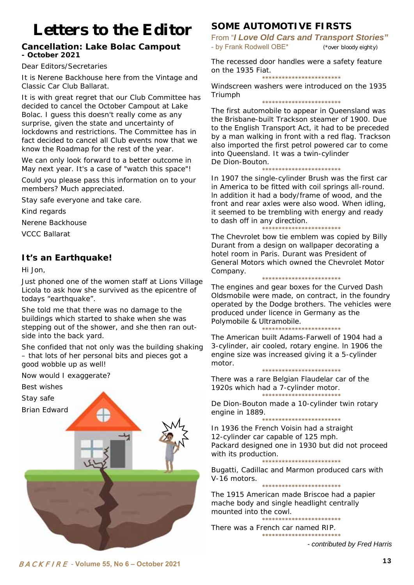# Letters to the Editor

### **Cancellation: Lake Bolac Campout - October 2021**

Dear Editors/Secretaries

It is Nerene Backhouse here from the Vintage and Classic Car Club Ballarat.

It is with great regret that our Club Committee has decided to cancel the October Campout at Lake Bolac. I guess this doesn't really come as any surprise, given the state and uncertainty of lockdowns and restrictions. The Committee has in fact decided to cancel all Club events now that we know the Roadmap for the rest of the year.

We can only look forward to a better outcome in May next year. It's a case of "watch this space"!

Could you please pass this information on to your members? Much appreciated.

Stay safe everyone and take care.

Kind regards

Nerene Backhouse

VCCC Ballarat

### **It's an Earthquake!**

Hi Jon,

Just phoned one of the women staff at Lions Village Licola to ask how she survived as the epicentre of todays "earthquake".

She told me that there was no damage to the buildings which started to shake when she was stepping out of the shower, and she then ran outside into the back yard.

She confided that not only was the building shaking – that lots of her personal bits and pieces got a good wobble up as well!

Now would I exaggerate?

Best wishes

Stay safe

Brian Edward



### **SOME AUTOMOTIVE FIRSTS**

From "*I Love Old Cars and Transport Stories"*  - by Frank Rodwell OBE\* (\*over bloody eighty)

The recessed door handles were a safety feature on the 1935 Fiat.

**\*\*\*\*\*\*\*\*\*\*\*\*\*\*\*\*\*\*\*\*\*\*\*\*** 

Windscreen washers were introduced on the 1935 Triumph **\*\*\*\*\*\*\*\*\*\*\*\*\*\*\*\*\*\*\*\*\*\*\*\*** 

The first automobile to appear in Queensland was the Brisbane-built Trackson steamer of 1900. Due to the English Transport Act, it had to be preceded by a man walking in front with a red flag. Trackson also imported the first petrol powered car to come into Queensland. It was a twin-cylinder De Dion-Bouton.

**\*\*\*\*\*\*\*\*\*\*\*\*\*\*\*\*\*\*\*\*\*\*\*\*** 

In 1907 the single-cylinder Brush was the first car in America to be fitted with coil springs all-round. ln addition it had a body/frame of wood, and the front and rear axles were also wood. When idling, it seemed to be trembling with energy and ready to dash off in any direction.

**\*\*\*\*\*\*\*\*\*\*\*\*\*\*\*\*\*\*\*\*\*\*\*\*** 

The Chevrolet bow tie emblem was copied by Billy Durant from a design on wallpaper decorating a hotel room in Paris. Durant was President of General Motors which owned the Chevrolet Motor Company.

**\*\*\*\*\*\*\*\*\*\*\*\*\*\*\*\*\*\*\*\*\*\*\*\*** 

The engines and gear boxes for the Curved Dash Oldsmobile were made, on contract, in the foundry operated by the Dodge brothers. The vehicles were produced under licence in Germany as the Polymobile & Ultramobile.

**\*\*\*\*\*\*\*\*\*\*\*\*\*\*\*\*\*\*\*\*\*\*\*\*** 

The American built Adams-Farwell of 1904 had a 3-cylinder, air cooled, rotary engine. ln 1906 the engine size was increased giving it a 5-cylinder motor.

**\*\*\*\*\*\*\*\*\*\*\*\*\*\*\*\*\*\*\*\*\*\*\*\*** 

There was a rare Belgian Flaudelar car of the 1920s which had a 7-cylinder motor. **\*\*\*\*\*\*\*\*\*\*\*\*\*\*\*\*\*\*\*\*\*\*\*\*** 

De Dion-Bouton made a 10-cylinder twin rotary engine in 1889.

**\*\*\*\*\*\*\*\*\*\*\*\*\*\*\*\*\*\*\*\*\*\*\*\*** 

In 1936 the French Voisin had a straight 12-cylinder car capable of 125 mph. Packard designed one in 1930 but did not proceed with its production.

**\*\*\*\*\*\*\*\*\*\*\*\*\*\*\*\*\*\*\*\*\*\*\*\***  Bugatti, Cadillac and Marmon produced cars with V-16 motors. **\*\*\*\*\*\*\*\*\*\*\*\*\*\*\*\*\*\*\*\*\*\*\*\*** 

The 1915 American made Briscoe had a papier mache body and single headlight centrally mounted into the cowl.

**\*\*\*\*\*\*\*\*\*\*\*\*\*\*\*\*\*\*\*\*\*\*\*\*** 

There was a French car named RIP. **\*\*\*\*\*\*\*\*\*\*\*\*\*\*\*\*\*\*\*\*\*\*\*\*** 

*- contributed by Fred Harris*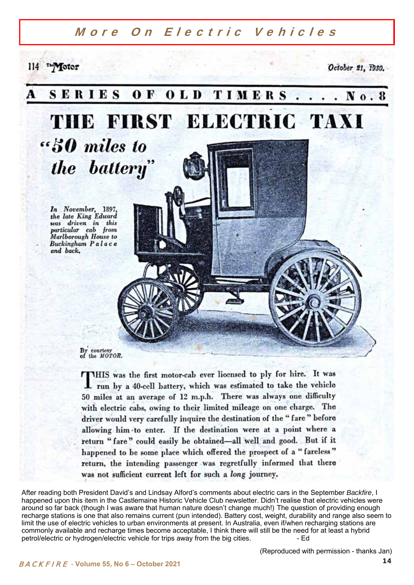### More On Electric Vehicles

114 The Motor

October 21, 1939.



THIS was the first motor-cab ever licensed to ply for hire. It was I run by a 40-cell battery, which was estimated to take the vehicle 50 miles at an average of 12 m.p.h. There was always one difficulty with electric cabs, owing to their limited mileage on one charge. The driver would very carefully inquire the destination of the "fare" before allowing him to enter. If the destination were at a point where a return "fare" could easily be obtained-all well and good. But if it happened to be some place which offered the prospect of a "fareless" return, the intending passenger was regretfully informed that there was not sufficient current left for such a long journey.

After reading both President David's and Lindsay Alford's comments about electric cars in the September *Backfire*, I happened upon this item in the Castlemaine Historic Vehicle Club newsletter. Didn't realise that electric vehicles were around so far back (though I was aware that human nature doesn't change much!) The question of providing enough recharge stations is one that also remains current (pun intended). Battery cost, weight, durability and range also seem to limit the use of electric vehicles to urban environments at present. In Australia, even if/when recharging stations are commonly available and recharge times become acceptable, I think there will still be the need for at least a hybrid petrol/electric or hydrogen/electric vehicle for trips away from the big cities. - Ed

(Reproduced with permission - thanks Jan)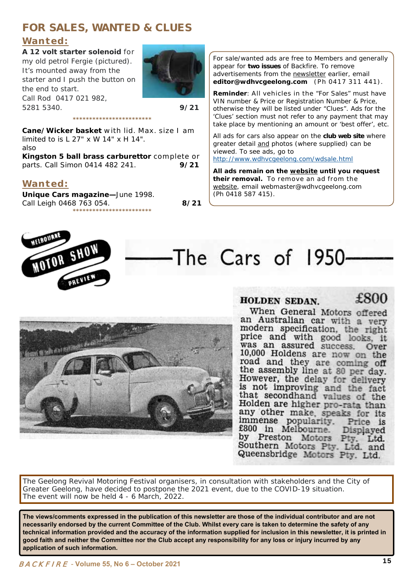### **FOR SALES, WANTED & CLUES**

### **Wanted:**

**A 12 volt starter solenoid** for my old petrol Fergie (pictured). It's mounted away from the starter and I push the button on the end to start. Call Rod 0417 021 982, 5281 5340. **9/21** 



**Cane/Wicker basket** with lid. Max. size I am limited to is L 27" x W 14" x H 14". also

**Kingston 5 ball brass carburettor** complete or parts. Call Simon 0414 482 241. **9/21** 

**\*\*\*\*\*\*\*\*\*\*\*\*\*\*\*\*\*\*\*\*\*\*\*\*** 

### **Wanted:**

**Unique Cars magazine—**June 1998. Call Leigh 0468 763 054. **8/21 \*\*\*\*\*\*\*\*\*\*\*\*\*\*\*\*\*\*\*\*\*\*\*\***

For sale/wanted ads are free to Members and generally appear for **two issues** of *Backfire*. To remove advertisements from the newsletter earlier, email **editor@wdhvcgeelong.com** (Ph 0417 311 441).

**Reminder**: All vehicles in the "For Sales" must have VIN number & Price or Registration Number & Price, otherwise they will be listed under "Clues". Ads for the 'Clues' section must not refer to any payment that may take place by mentioning an amount or 'best offer', etc.

All ads for cars also appear on the **club web site** where greater detail and photos (where supplied) can be viewed. To see ads, go to http://www.wdhvcgeelong.com/wdsale.html

**All ads remain on the website until you request their removal.** To remove an ad from the website, email webmaster@wdhvcgeelong.com (Ph 0418 587 415).



on the control

# The Cars of 1950



£800

When General Motors offered an Australian car with a very modern specification, the right price and with good looks, it was an assured success. Over 10,000 Holdens are now on the road and they are coming off the assembly line at 80 per day. However, the delay for delivery is not improving and the fact that secondhand values of the Holden are higher pro-rata than any other make, speaks for its immense popularity.<br>£800 in Melbourne. Price is Displayed by Preston Motors Pty, Ltd. Southern Motors Pty. Ltd. and Queensbridge Motors Pty. Ltd.

The Geelong Revival Motoring Festival organisers, in consultation with stakeholders and the City of Greater Geelong, have decided to postpone the 2021 event, due to the COVID-19 situation. The event will now be held 4 - 6 March, 2022.

**The views/comments expressed in the publication of this newsletter are those of the individual contributor and are not necessarily endorsed by the current Committee of the Club. Whilst every care is taken to determine the safety of any technical information provided and the accuracy of the information supplied for inclusion in this newsletter, it is printed in good faith and neither the Committee nor the Club accept any responsibility for any loss or injury incurred by any application of such information.**